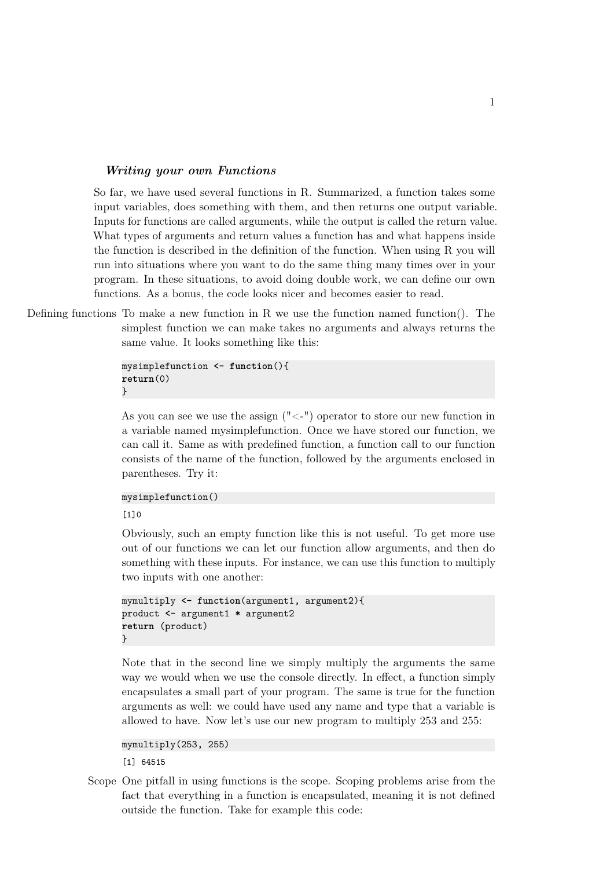## Writing your own Functions

So far, we have used several functions in R. Summarized, a function takes some input variables, does something with them, and then returns one output variable. Inputs for functions are called arguments, while the output is called the return value. What types of arguments and return values a function has and what happens inside the function is described in the definition of the function. When using R you will run into situations where you want to do the same thing many times over in your program. In these situations, to avoid doing double work, we can define our own functions. As a bonus, the code looks nicer and becomes easier to read.

Defining functions To make a new function in R we use the function named function(). The simplest function we can make takes no arguments and always returns the same value. It looks something like this:

```
mysimplefunction <- function(){
return(0)
}
```
As you can see we use the assign  $(\mathbb{T} \leq \mathbb{T})$  operator to store our new function in a variable named mysimplefunction. Once we have stored our function, we can call it. Same as with predefined function, a function call to our function consists of the name of the function, followed by the arguments enclosed in parentheses. Try it:

```
mysimplefunction()
```
[1]0

Obviously, such an empty function like this is not useful. To get more use out of our functions we can let our function allow arguments, and then do something with these inputs. For instance, we can use this function to multiply two inputs with one another:

```
mymultiply <- function(argument1, argument2){
product <- argument1 * argument2
return (product)
}
```
Note that in the second line we simply multiply the arguments the same way we would when we use the console directly. In effect, a function simply encapsulates a small part of your program. The same is true for the function arguments as well: we could have used any name and type that a variable is allowed to have. Now let's use our new program to multiply 253 and 255:

```
mymultiply(253, 255)
```
[1] 64515

Scope One pitfall in using functions is the scope. Scoping problems arise from the fact that everything in a function is encapsulated, meaning it is not defined outside the function. Take for example this code: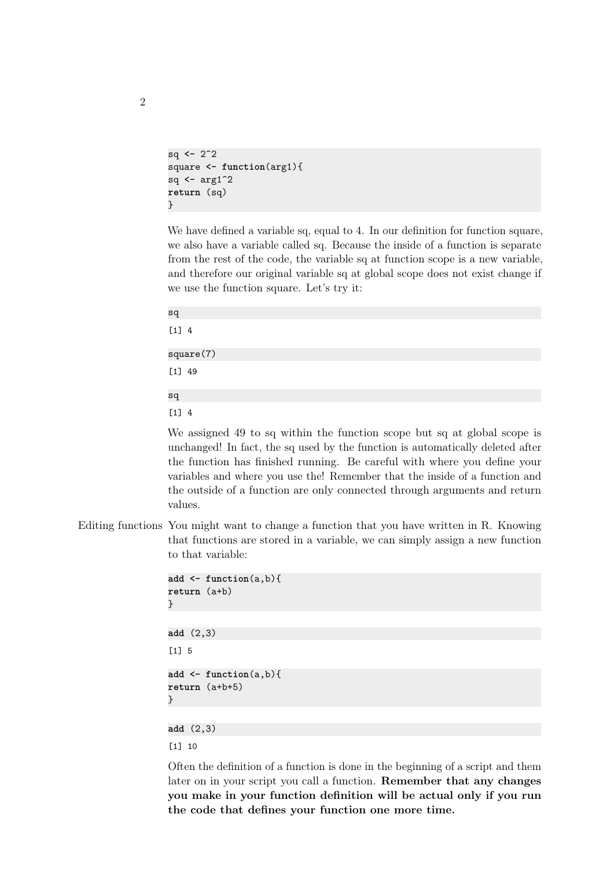```
sq <- 2^2
square <- function(arg1){
sq <- arg1^2
return (sq)
}
```
We have defined a variable sq, equal to 4. In our definition for function square, we also have a variable called sq. Because the inside of a function is separate from the rest of the code, the variable sq at function scope is a new variable, and therefore our original variable sq at global scope does not exist change if we use the function square. Let's try it:

sq  $[1]$  4 square(7) [1] 49 sq [1] 4

We assigned 49 to sq within the function scope but sq at global scope is unchanged! In fact, the sq used by the function is automatically deleted after the function has finished running. Be careful with where you define your variables and where you use the! Remember that the inside of a function and the outside of a function are only connected through arguments and return values.

Editing functions You might want to change a function that you have written in R. Knowing that functions are stored in a variable, we can simply assign a new function to that variable:

```
add <- function(a,b){
return (a+b)
}
add (2,3)
[1] 5
add <- function(a,b){
```

```
return (a+b+5)
}
```
## **add** (2,3)

[1] 10

Often the definition of a function is done in the beginning of a script and them later on in your script you call a function. Remember that any changes you make in your function definition will be actual only if you run the code that defines your function one more time.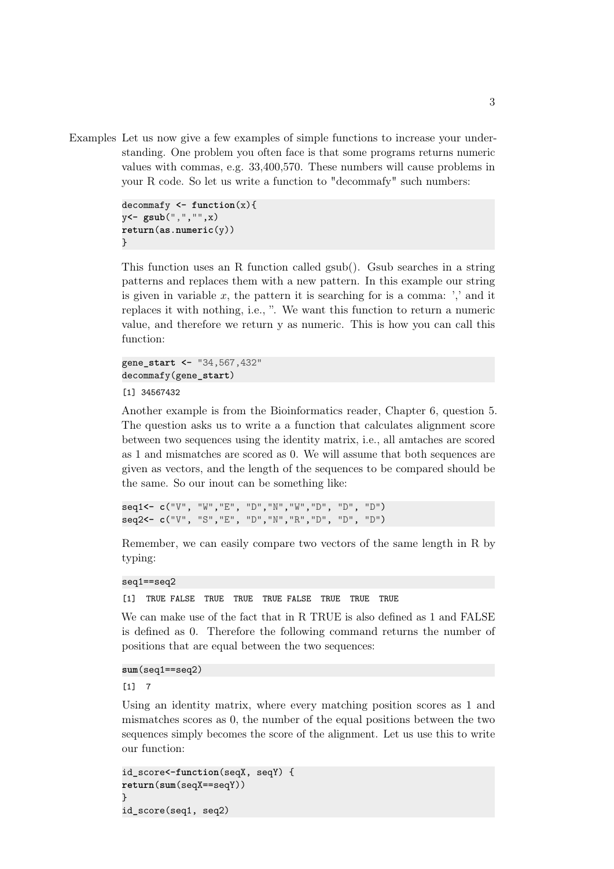Examples Let us now give a few examples of simple functions to increase your understanding. One problem you often face is that some programs returns numeric values with commas, e.g. 33,400,570. These numbers will cause problems in your R code. So let us write a function to "decommafy" such numbers:

```
decommafy <- function(x){
y<- gsub(",","",x)
return(as.numeric(y))
}
```
This function uses an R function called gsub(). Gsub searches in a string patterns and replaces them with a new pattern. In this example our string is given in variable  $x$ , the pattern it is searching for is a comma: ',' and it replaces it with nothing, i.e., ". We want this function to return a numeric value, and therefore we return y as numeric. This is how you can call this function:

```
gene_start <- "34,567,432"
decommafy(gene_start)
```
[1] 34567432

Another example is from the Bioinformatics reader, Chapter 6, question 5. The question asks us to write a a function that calculates alignment score between two sequences using the identity matrix, i.e., all amtaches are scored as 1 and mismatches are scored as 0. We will assume that both sequences are given as vectors, and the length of the sequences to be compared should be the same. So our inout can be something like:

```
seq1<- c("V", "W","E", "D","N","W","D", "D", "D")
seq2<- c("V", "S","E", "D","N","R","D", "D", "D")
```
Remember, we can easily compare two vectors of the same length in R by typing:

```
seq1==seq2
```
[1] TRUE FALSE TRUE TRUE TRUE FALSE TRUE TRUE TRUE

We can make use of the fact that in R TRUE is also defined as 1 and FALSE is defined as 0. Therefore the following command returns the number of positions that are equal between the two sequences:

## **sum**(seq1==seq2)

[1] 7

Using an identity matrix, where every matching position scores as 1 and mismatches scores as 0, the number of the equal positions between the two sequences simply becomes the score of the alignment. Let us use this to write our function:

```
id_score<-function(seqX, seqY) {
return(sum(seqX==seqY))
}
id_score(seq1, seq2)
```